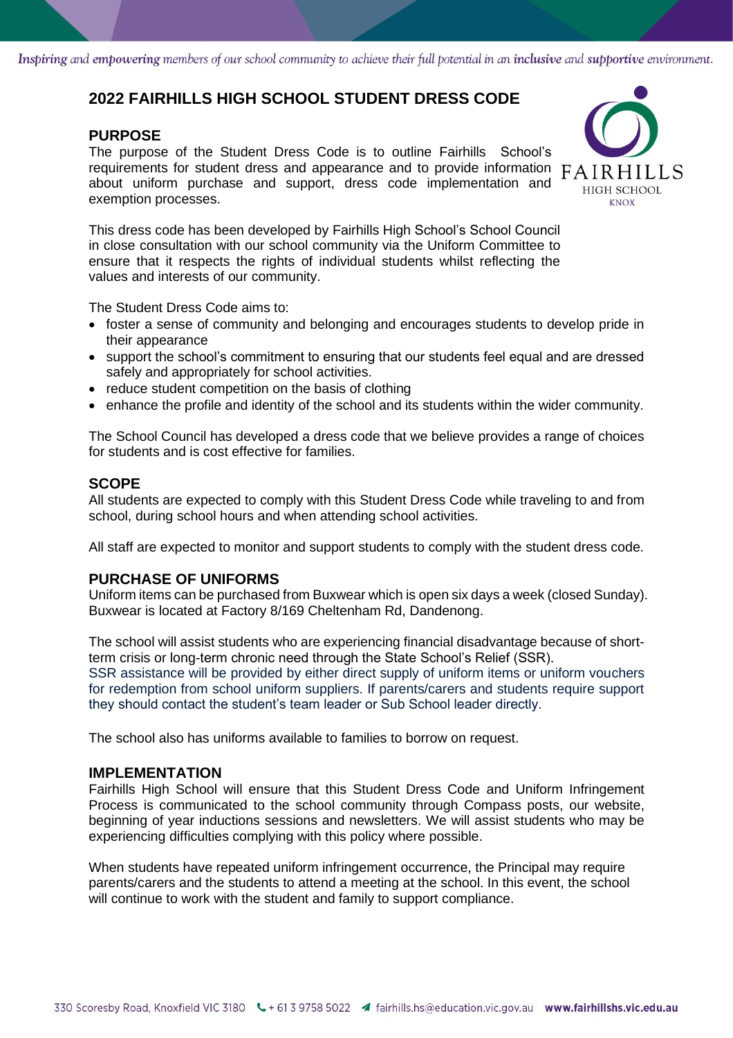Inspiring and empowering members of our school community to achieve their full potential in an inclusive and supportive environment.

## **2022 FAIRHILLS HIGH SCHOOL STUDENT DRESS CODE**

#### **PURPOSE**

The purpose of the Student Dress Code is to outline Fairhills School's requirements for student dress and appearance and to provide information  $FAIRHILLS$ about uniform purchase and support, dress code implementation and exemption processes.



This dress code has been developed by Fairhills High School's School Council in close consultation with our school community via the Uniform Committee to ensure that it respects the rights of individual students whilst reflecting the values and interests of our community.

The Student Dress Code aims to:

- foster a sense of community and belonging and encourages students to develop pride in their appearance
- support the school's commitment to ensuring that our students feel equal and are dressed safely and appropriately for school activities.
- reduce student competition on the basis of clothing
- enhance the profile and identity of the school and its students within the wider community.

The School Council has developed a dress code that we believe provides a range of choices for students and is cost effective for families.

#### **SCOPE**

All students are expected to comply with this Student Dress Code while traveling to and from school, during school hours and when attending school activities.

All staff are expected to monitor and support students to comply with the student dress code.

#### **PURCHASE OF UNIFORMS**

Uniform items can be purchased from Buxwear which is open six days a week (closed Sunday). Buxwear is located at Factory 8/169 Cheltenham Rd, Dandenong.

The school will assist students who are experiencing financial disadvantage because of shortterm crisis or long-term chronic need through the State School's Relief (SSR). SSR assistance will be provided by either direct supply of uniform items or uniform vouchers for redemption from school uniform suppliers. If parents/carers and students require support they should contact the student's team leader or Sub School leader directly.

The school also has uniforms available to families to borrow on request.

#### **IMPLEMENTATION**

Fairhills High School will ensure that this Student Dress Code and Uniform Infringement Process is communicated to the school community through Compass posts, our website, beginning of year inductions sessions and newsletters. We will assist students who may be experiencing difficulties complying with this policy where possible.

When students have repeated uniform infringement occurrence, the Principal may require parents/carers and the students to attend a meeting at the school. In this event, the school will continue to work with the student and family to support compliance.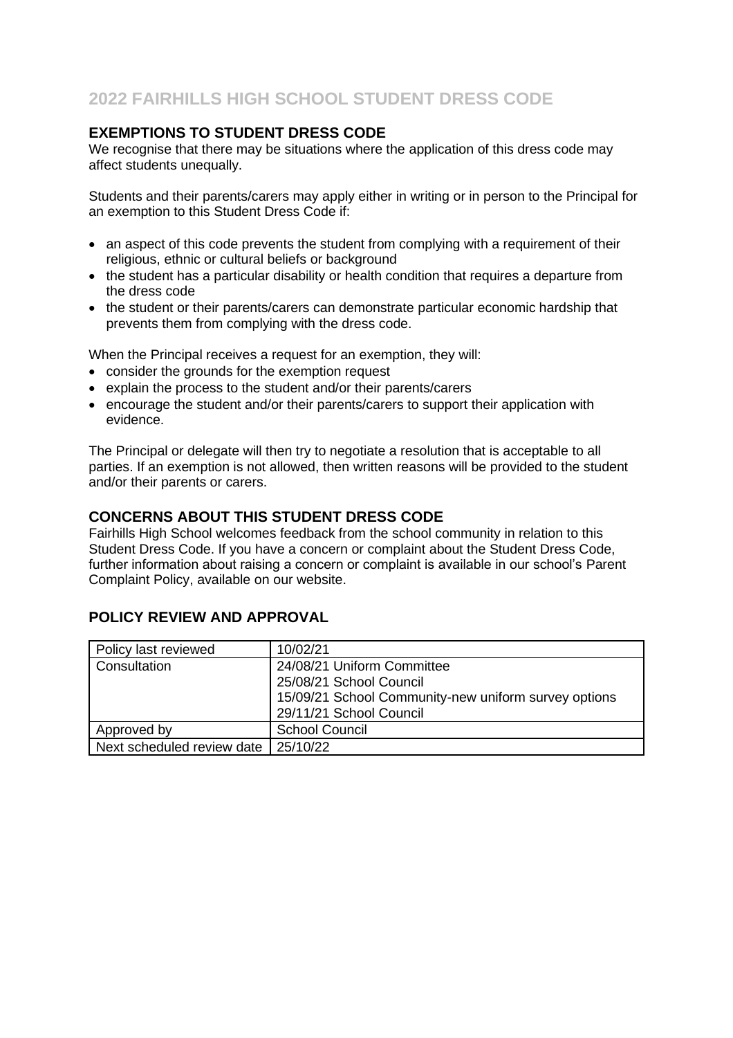### **EXEMPTIONS TO STUDENT DRESS CODE**

We recognise that there may be situations where the application of this dress code may affect students unequally.

Students and their parents/carers may apply either in writing or in person to the Principal for an exemption to this Student Dress Code if:

- an aspect of this code prevents the student from complying with a requirement of their religious, ethnic or cultural beliefs or background
- the student has a particular disability or health condition that requires a departure from the dress code
- the student or their parents/carers can demonstrate particular economic hardship that prevents them from complying with the dress code.

When the Principal receives a request for an exemption, they will:

- consider the grounds for the exemption request
- explain the process to the student and/or their parents/carers
- encourage the student and/or their parents/carers to support their application with evidence.

The Principal or delegate will then try to negotiate a resolution that is acceptable to all parties. If an exemption is not allowed, then written reasons will be provided to the student and/or their parents or carers.

#### **CONCERNS ABOUT THIS STUDENT DRESS CODE**

Fairhills High School welcomes feedback from the school community in relation to this Student Dress Code. If you have a concern or complaint about the Student Dress Code, further information about raising a concern or complaint is available in our school's Parent Complaint Policy, available on our website.

### **POLICY REVIEW AND APPROVAL**

| Policy last reviewed       | 10/02/21                                             |
|----------------------------|------------------------------------------------------|
| Consultation               | 24/08/21 Uniform Committee                           |
|                            | 25/08/21 School Council                              |
|                            | 15/09/21 School Community-new uniform survey options |
|                            | 29/11/21 School Council                              |
| Approved by                | <b>School Council</b>                                |
| Next scheduled review date | 25/10/22                                             |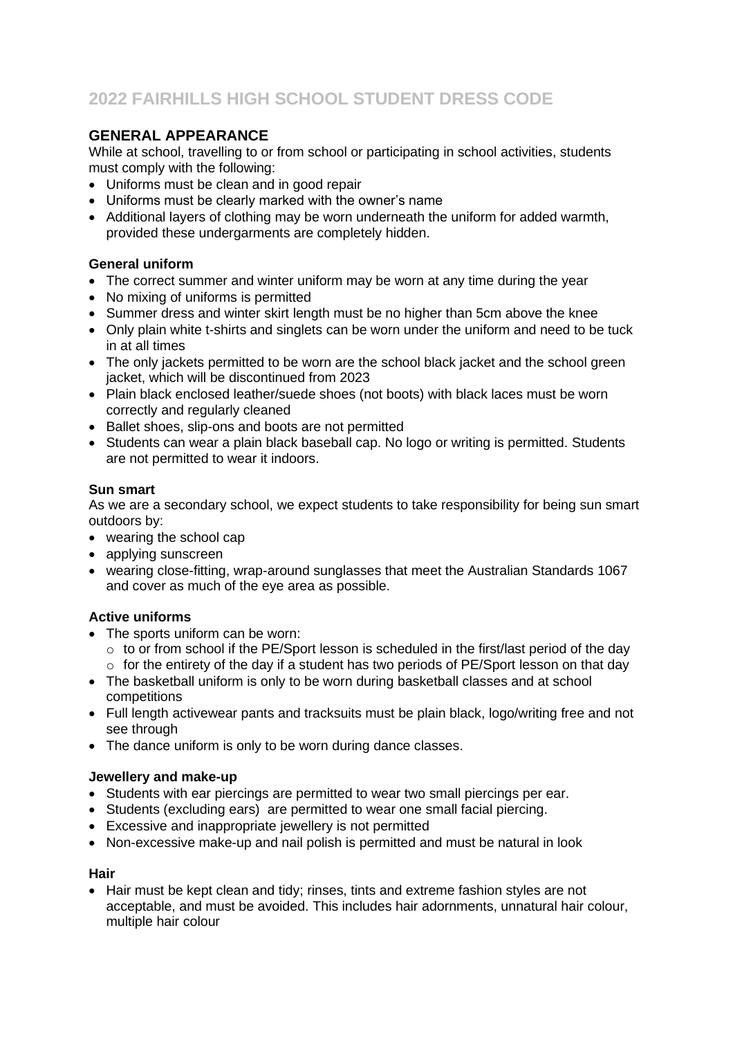## **GENERAL APPEARANCE**

While at school, travelling to or from school or participating in school activities, students must comply with the following:

- Uniforms must be clean and in good repair
- Uniforms must be clearly marked with the owner's name
- Additional layers of clothing may be worn underneath the uniform for added warmth, provided these undergarments are completely hidden.

#### **General uniform**

- The correct summer and winter uniform may be worn at any time during the year
- No mixing of uniforms is permitted
- Summer dress and winter skirt length must be no higher than 5cm above the knee
- Only plain white t-shirts and singlets can be worn under the uniform and need to be tuck in at all times
- The only jackets permitted to be worn are the school black jacket and the school green jacket, which will be discontinued from 2023
- Plain black enclosed leather/suede shoes (not boots) with black laces must be worn correctly and regularly cleaned
- Ballet shoes, slip-ons and boots are not permitted
- Students can wear a plain black baseball cap. No logo or writing is permitted. Students are not permitted to wear it indoors.

#### **Sun smart**

As we are a secondary school, we expect students to take responsibility for being sun smart outdoors by:

- wearing the school cap
- applying sunscreen
- wearing close-fitting, wrap-around sunglasses that meet the Australian Standards 1067 and cover as much of the eye area as possible.

### **Active uniforms**

- The sports uniform can be worn:
	- $\circ$  to or from school if the PE/Sport lesson is scheduled in the first/last period of the day  $\circ$  for the entirety of the day if a student has two periods of PE/Sport lesson on that day
- The basketball uniform is only to be worn during basketball classes and at school competitions
- Full length activewear pants and tracksuits must be plain black, logo/writing free and not see through
- The dance uniform is only to be worn during dance classes.

#### **Jewellery and make-up**

- Students with ear piercings are permitted to wear two small piercings per ear.
- Students (excluding ears) are permitted to wear one small facial piercing.
- Excessive and inappropriate jewellery is not permitted
- Non-excessive make-up and nail polish is permitted and must be natural in look

#### **Hair**

• Hair must be kept clean and tidy; rinses, tints and extreme fashion styles are not acceptable, and must be avoided. This includes hair adornments, unnatural hair colour, multiple hair colour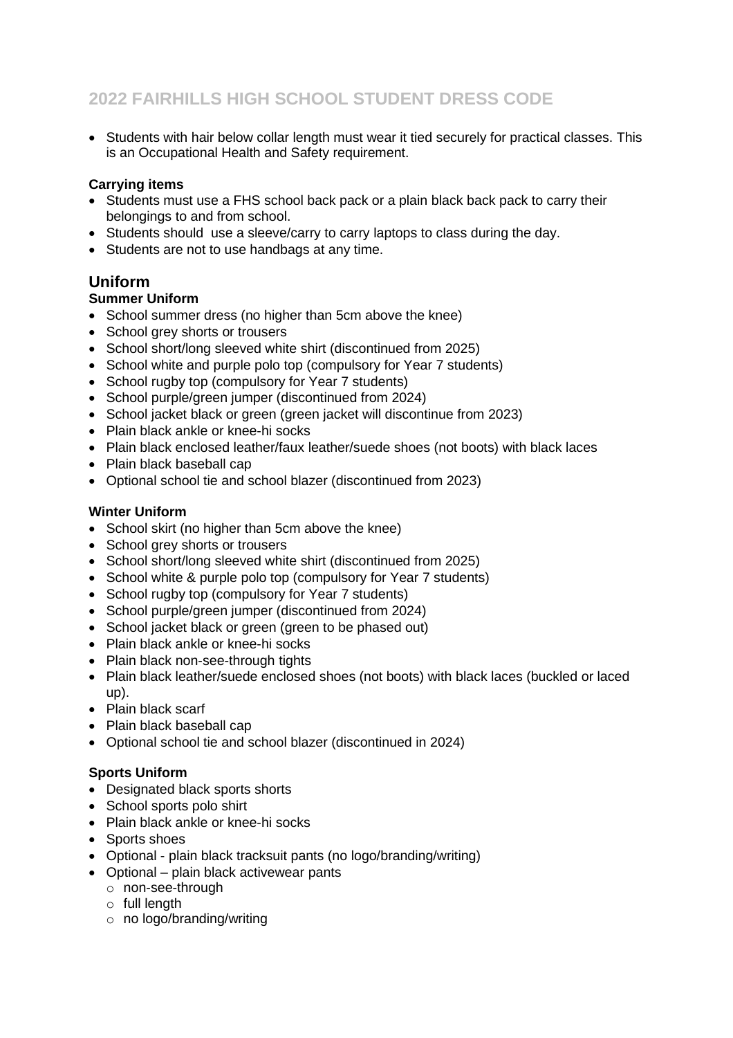• Students with hair below collar length must wear it tied securely for practical classes. This is an Occupational Health and Safety requirement.

#### **Carrying items**

- Students must use a FHS school back pack or a plain black back pack to carry their belongings to and from school.
- Students should use a sleeve/carry to carry laptops to class during the day.
- Students are not to use handbags at any time.

## **Uniform**

#### **Summer Uniform**

- School summer dress (no higher than 5cm above the knee)
- School grey shorts or trousers
- School short/long sleeved white shirt (discontinued from 2025)
- School white and purple polo top (compulsory for Year 7 students)
- School rugby top (compulsory for Year 7 students)
- School purple/green jumper (discontinued from 2024)
- School jacket black or green (green jacket will discontinue from 2023)
- Plain black ankle or knee-hi socks
- Plain black enclosed leather/faux leather/suede shoes (not boots) with black laces
- Plain black baseball cap
- Optional school tie and school blazer (discontinued from 2023)

#### **Winter Uniform**

- School skirt (no higher than 5cm above the knee)
- School grey shorts or trousers
- School short/long sleeved white shirt (discontinued from 2025)
- School white & purple polo top (compulsory for Year 7 students)
- School rugby top (compulsory for Year 7 students)
- School purple/green jumper (discontinued from 2024)
- School jacket black or green (green to be phased out)
- Plain black ankle or knee-hi socks
- Plain black non-see-through tights
- Plain black leather/suede enclosed shoes (not boots) with black laces (buckled or laced up).
- Plain black scarf
- Plain black baseball cap
- Optional school tie and school blazer (discontinued in 2024)

### **Sports Uniform**

- Designated black sports shorts
- School sports polo shirt
- Plain black ankle or knee-hi socks
- Sports shoes
- Optional plain black tracksuit pants (no logo/branding/writing)
- Optional plain black activewear pants
	- o non-see-through
	- $\circ$  full length
	- o no logo/branding/writing